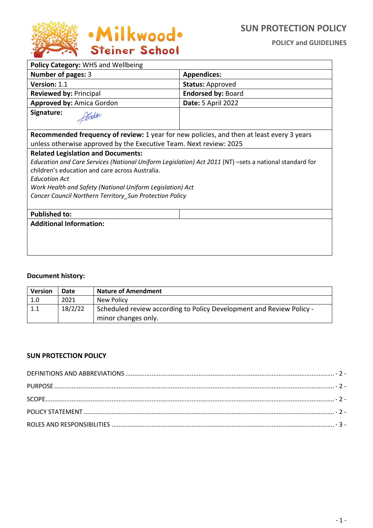

| Policy Category: WHS and Wellbeing                                                                     |                           |  |
|--------------------------------------------------------------------------------------------------------|---------------------------|--|
| Number of pages: 3                                                                                     | <b>Appendices:</b>        |  |
| Version: 1.1                                                                                           | <b>Status: Approved</b>   |  |
| <b>Reviewed by: Principal</b>                                                                          | <b>Endorsed by: Board</b> |  |
| <b>Approved by: Amica Gordon</b>                                                                       | Date: 5 April 2022        |  |
| Signature:                                                                                             |                           |  |
| Recommended frequency of review: 1 year for new policies, and then at least every 3 years              |                           |  |
| unless otherwise approved by the Executive Team. Next review: 2025                                     |                           |  |
| <b>Related Legislation and Documents:</b>                                                              |                           |  |
| Education and Care Services (National Uniform Legislation) Act 2011 (NT) -sets a national standard for |                           |  |
| children's education and care across Australia.                                                        |                           |  |
| <b>Education Act</b>                                                                                   |                           |  |
| Work Health and Safety (National Uniform Legislation) Act                                              |                           |  |
| Cancer Council Northern Territory_Sun Protection Policy                                                |                           |  |
|                                                                                                        |                           |  |
| <b>Published to:</b>                                                                                   |                           |  |
| <b>Additional Information:</b>                                                                         |                           |  |
|                                                                                                        |                           |  |
|                                                                                                        |                           |  |
|                                                                                                        |                           |  |

#### **Document history:**

| <b>Version</b> | Date    | <b>Nature of Amendment</b>                                                                  |
|----------------|---------|---------------------------------------------------------------------------------------------|
| 1.0            | 2021    | New Policy                                                                                  |
|                | 18/2/22 | Scheduled review according to Policy Development and Review Policy -<br>minor changes only. |

#### **SUN PROTECTION POLICY**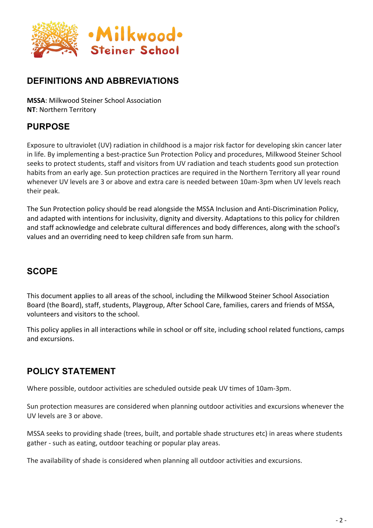

## **DEFINITIONS AND ABBREVIATIONS**

**MSSA**: Milkwood Steiner School Association **NT**: Northern Territory

## **PURPOSE**

Exposure to ultraviolet (UV) radiation in childhood is a major risk factor for developing skin cancer later in life. By implementing a best-practice Sun Protection Policy and procedures, Milkwood Steiner School seeks to protect students, staff and visitors from UV radiation and teach students good sun protection habits from an early age. Sun protection practices are required in the Northern Territory all year round whenever UV levels are 3 or above and extra care is needed between 10am-3pm when UV levels reach their peak.

The Sun Protection policy should be read alongside the MSSA Inclusion and Anti-Discrimination Policy, and adapted with intentions for inclusivity, dignity and diversity. Adaptations to this policy for children and staff acknowledge and celebrate cultural differences and body differences, along with the school's values and an overriding need to keep children safe from sun harm.

## **SCOPE**

This document applies to all areas of the school, including the Milkwood Steiner School Association Board (the Board), staff, students, Playgroup, After School Care, families, carers and friends of MSSA, volunteers and visitors to the school.

This policy applies in all interactions while in school or off site, including school related functions, camps and excursions.

## **POLICY STATEMENT**

Where possible, outdoor activities are scheduled outside peak UV times of 10am-3pm.

Sun protection measures are considered when planning outdoor activities and excursions whenever the UV levels are 3 or above.

MSSA seeks to providing shade (trees, built, and portable shade structures etc) in areas where students gather - such as eating, outdoor teaching or popular play areas.

The availability of shade is considered when planning all outdoor activities and excursions.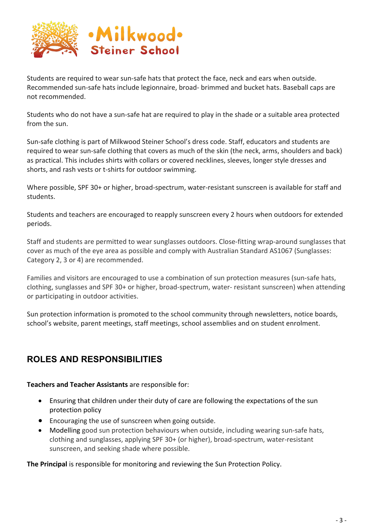

Students are required to wear sun-safe hats that protect the face, neck and ears when outside. Recommended sun-safe hats include legionnaire, broad- brimmed and bucket hats. Baseball caps are not recommended.

Students who do not have a sun-safe hat are required to play in the shade or a suitable area protected from the sun.

Sun-safe clothing is part of Milkwood Steiner School's dress code. Staff, educators and students are required to wear sun-safe clothing that covers as much of the skin (the neck, arms, shoulders and back) as practical. This includes shirts with collars or covered necklines, sleeves, longer style dresses and shorts, and rash vests or t-shirts for outdoor swimming.

Where possible, SPF 30+ or higher, broad-spectrum, water-resistant sunscreen is available for staff and students.

Students and teachers are encouraged to reapply sunscreen every 2 hours when outdoors for extended periods.

Staff and students are permitted to wear sunglasses outdoors. Close-fitting wrap-around sunglasses that cover as much of the eye area as possible and comply with Australian Standard AS1067 (Sunglasses: Category 2, 3 or 4) are recommended.

Families and visitors are encouraged to use a combination of sun protection measures (sun-safe hats, clothing, sunglasses and SPF 30+ or higher, broad-spectrum, water- resistant sunscreen) when attending or participating in outdoor activities.

Sun protection information is promoted to the school community through newsletters, notice boards, school's website, parent meetings, staff meetings, school assemblies and on student enrolment.

# **ROLES AND RESPONSIBILITIES**

**Teachers and Teacher Assistants** are responsible for:

- Ensuring that children under their duty of care are following the expectations of the sun protection policy
- Encouraging the use of sunscreen when going outside.
- Modelling good sun protection behaviours when outside, including wearing sun-safe hats, clothing and sunglasses, applying SPF 30+ (or higher), broad-spectrum, water-resistant sunscreen, and seeking shade where possible.

**The Principal** is responsible for monitoring and reviewing the Sun Protection Policy.